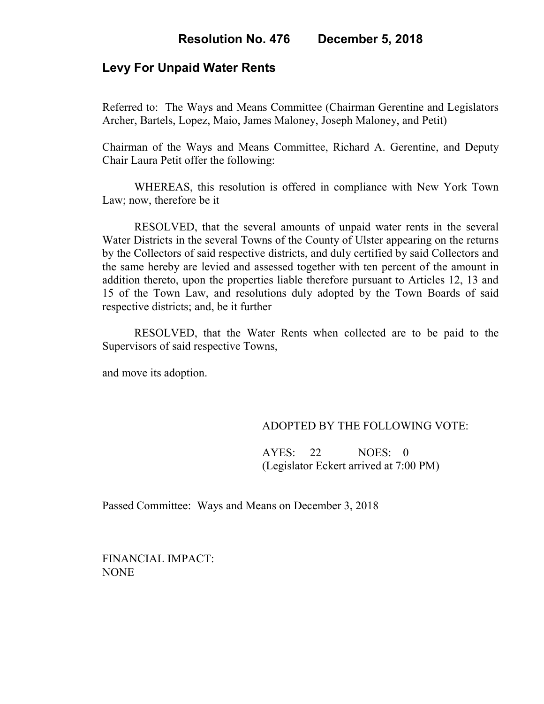# **Levy For Unpaid Water Rents**

Referred to: The Ways and Means Committee (Chairman Gerentine and Legislators Archer, Bartels, Lopez, Maio, James Maloney, Joseph Maloney, and Petit)

Chairman of the Ways and Means Committee, Richard A. Gerentine, and Deputy Chair Laura Petit offer the following:

WHEREAS, this resolution is offered in compliance with New York Town Law; now, therefore be it

RESOLVED, that the several amounts of unpaid water rents in the several Water Districts in the several Towns of the County of Ulster appearing on the returns by the Collectors of said respective districts, and duly certified by said Collectors and the same hereby are levied and assessed together with ten percent of the amount in addition thereto, upon the properties liable therefore pursuant to Articles 12, 13 and 15 of the Town Law, and resolutions duly adopted by the Town Boards of said respective districts; and, be it further

RESOLVED, that the Water Rents when collected are to be paid to the Supervisors of said respective Towns,

and move its adoption.

### ADOPTED BY THE FOLLOWING VOTE:

 AYES: 22 NOES: 0 (Legislator Eckert arrived at 7:00 PM)

Passed Committee: Ways and Means on December 3, 2018

FINANCIAL IMPACT: NONE